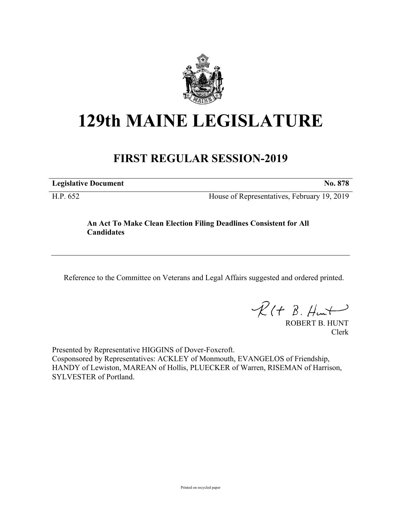

# **129th MAINE LEGISLATURE**

# **FIRST REGULAR SESSION-2019**

**Legislative Document No. 878**

H.P. 652 House of Representatives, February 19, 2019

## **An Act To Make Clean Election Filing Deadlines Consistent for All Candidates**

Reference to the Committee on Veterans and Legal Affairs suggested and ordered printed.

 $R(t B. Hmt)$ 

ROBERT B. HUNT Clerk

Presented by Representative HIGGINS of Dover-Foxcroft. Cosponsored by Representatives: ACKLEY of Monmouth, EVANGELOS of Friendship, HANDY of Lewiston, MAREAN of Hollis, PLUECKER of Warren, RISEMAN of Harrison, SYLVESTER of Portland.